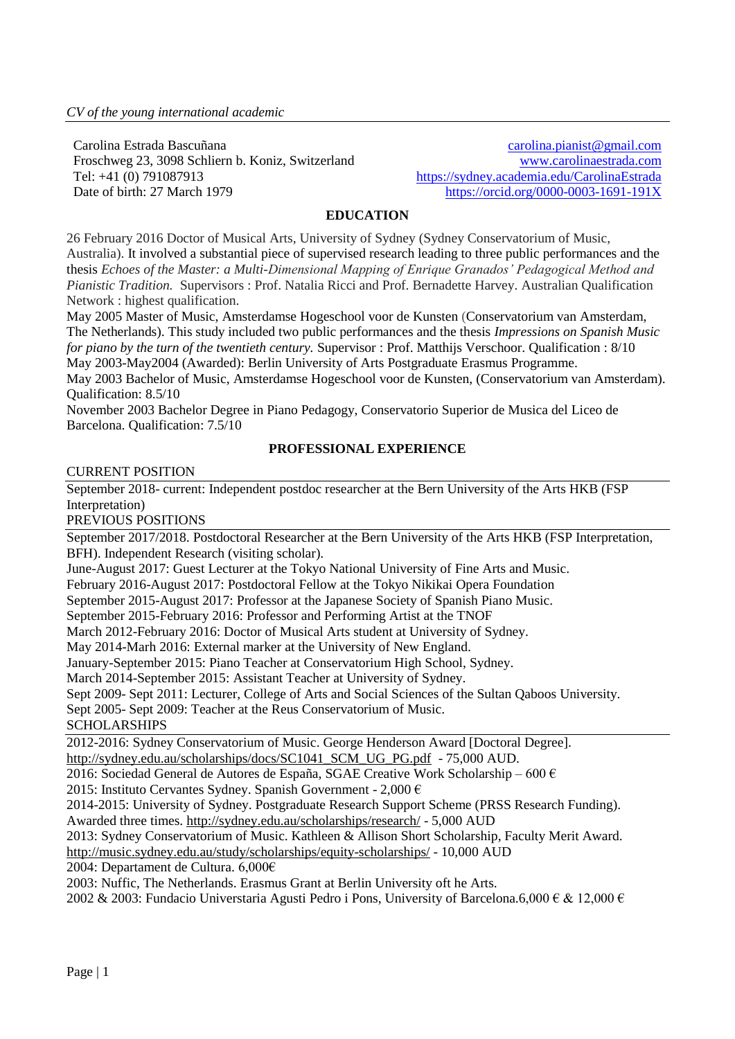Carolina Estrada Bascuñana Froschweg 23, 3098 Schliern b. Koniz, Switzerland Tel: +41 (0) 791087913 Date of birth: 27 March 1979

[carolina.pianist@gmail.com](mailto:carolina.pianist@gmail.com) [www.carolinaestrada.com](http://www.carolinaestrada.com/) <https://sydney.academia.edu/CarolinaEstrada> <https://orcid.org/0000-0003-1691-191X>

## **EDUCATION**

26 February 2016 Doctor of Musical Arts, University of Sydney (Sydney Conservatorium of Music, Australia). It involved a substantial piece of supervised research leading to three public performances and the thesis *Echoes of the Master: a Multi-Dimensional Mapping of Enrique Granados' Pedagogical Method and Pianistic Tradition.* Supervisors : Prof. Natalia Ricci and Prof. Bernadette Harvey. Australian Qualification Network : highest qualification.

May 2005 Master of Music, Amsterdamse Hogeschool voor de Kunsten (Conservatorium van Amsterdam, The Netherlands). This study included two public performances and the thesis *Impressions on Spanish Music for piano by the turn of the twentieth century.* Supervisor : Prof. Matthijs Verschoor. Qualification : 8/10 May 2003-May2004 (Awarded): Berlin University of Arts Postgraduate Erasmus Programme.

May 2003 Bachelor of Music, Amsterdamse Hogeschool voor de Kunsten, (Conservatorium van Amsterdam). Qualification: 8.5/10

November 2003 Bachelor Degree in Piano Pedagogy, Conservatorio Superior de Musica del Liceo de Barcelona. Qualification: 7.5/10

## **PROFESSIONAL EXPERIENCE**

CURRENT POSITION

September 2018- current: Independent postdoc researcher at the Bern University of the Arts HKB (FSP Interpretation)

PREVIOUS POSITIONS

September 2017/2018. Postdoctoral Researcher at the Bern University of the Arts HKB (FSP Interpretation, BFH). Independent Research (visiting scholar).

June-August 2017: Guest Lecturer at the Tokyo National University of Fine Arts and Music.

February 2016-August 2017: Postdoctoral Fellow at the Tokyo Nikikai Opera Foundation

September 2015-August 2017: Professor at the Japanese Society of Spanish Piano Music.

September 2015-February 2016: Professor and Performing Artist at the TNOF

March 2012-February 2016: Doctor of Musical Arts student at University of Sydney.

May 2014-Marh 2016: External marker at the University of New England.

January-September 2015: Piano Teacher at Conservatorium High School, Sydney.

March 2014-September 2015: Assistant Teacher at University of Sydney.

Sept 2009- Sept 2011: Lecturer, College of Arts and Social Sciences of the Sultan Qaboos University.

Sept 2005- Sept 2009: Teacher at the Reus Conservatorium of Music.

SCHOLARSHIPS

2012-2016: Sydney Conservatorium of Music. George Henderson Award [Doctoral Degree].

[http://sydney.edu.au/scholarships/docs/SC1041\\_SCM\\_UG\\_PG.pdf](http://sydney.edu.au/scholarships/docs/SC1041_SCM_UG_PG.pdf) - 75,000 AUD.

2016: Sociedad General de Autores de España, SGAE Creative Work Scholarship – 600  $\epsilon$ 

2015: Instituto Cervantes Sydney. Spanish Government - 2,000 €

2014-2015: University of Sydney. Postgraduate Research Support Scheme (PRSS Research Funding).

Awarded three times.<http://sydney.edu.au/scholarships/research/> - 5,000 AUD

2013: Sydney Conservatorium of Music. Kathleen & Allison Short Scholarship, Faculty Merit Award.

<http://music.sydney.edu.au/study/scholarships/equity-scholarships/> - 10,000 AUD

2004: Departament de Cultura. 6,000€

2003: Nuffic, The Netherlands. Erasmus Grant at Berlin University oft he Arts.

2002 & 2003: Fundacio Universtaria Agusti Pedro i Pons, University of Barcelona.6,000  $\in \& 12,000 \in$